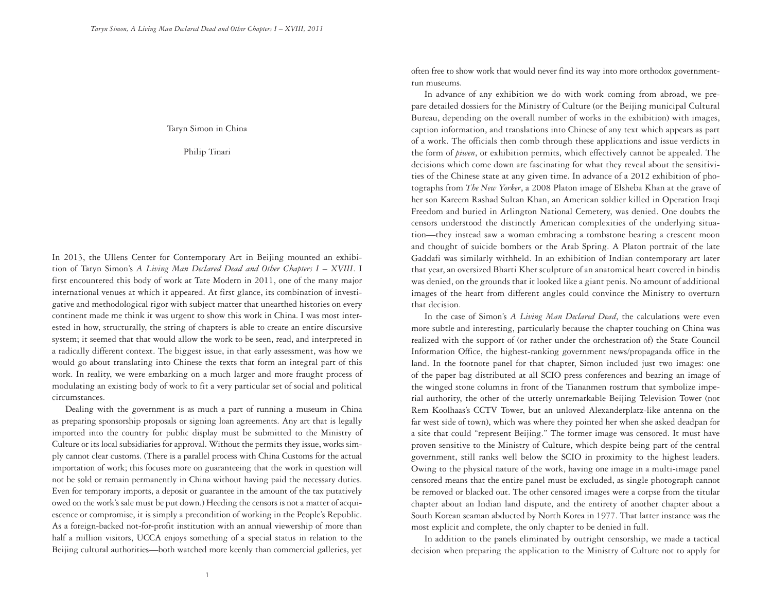Taryn Simon in China

Philip Tinari

In 2013, the Ullens Center for Contemporary Art in Beijing mounted an exhibition of Taryn Simon's *A Living Man Declared Dead and Other Chapters I – XVIII*. I first encountered this body of work at Tate Modern in 2011, one of the many major international venues at which it appeared. At first glance, its combination of investigative and methodological rigor with subject matter that unearthed histories on every continent made me think it was urgent to show this work in China. I was most interested in how, structurally, the string of chapters is able to create an entire discursive system; it seemed that that would allow the work to be seen, read, and interpreted in a radically different context. The biggest issue, in that early assessment, was how we would go about translating into Chinese the texts that form an integral part of this work. In reality, we were embarking on a much larger and more fraught process of modulating an existing body of work to fit a very particular set of social and political circumstances.

Dealing with the government is as much a part of running a museum in China as preparing sponsorship proposals or signing loan agreements. Any art that is legally imported into the country for public display must be submitted to the Ministry of Culture or its local subsidiaries for approval. Without the permits they issue, works simply cannot clear customs. (There is a parallel process with China Customs for the actual importation of work; this focuses more on guaranteeing that the work in question will not be sold or remain permanently in China without having paid the necessary duties. Even for temporary imports, a deposit or guarantee in the amount of the tax putatively owed on the work's sale must be put down.) Heeding the censors is not a matter of acquiescence or compromise, it is simply a precondition of working in the People's Republic. As a foreign-backed not-for-profit institution with an annual viewership of more than half a million visitors, UCCA enjoys something of a special status in relation to the Beijing cultural authorities—both watched more keenly than commercial galleries, yet often free to show work that would never find its way into more orthodox governmentrun museums.

In advance of any exhibition we do with work coming from abroad, we prepare detailed dossiers for the Ministry of Culture (or the Beijing municipal Cultural Bureau, depending on the overall number of works in the exhibition) with images, caption information, and translations into Chinese of any text which appears as part of a work. The officials then comb through these applications and issue verdicts in the form of *piwen*, or exhibition permits, which effectively cannot be appealed. The decisions which come down are fascinating for what they reveal about the sensitivities of the Chinese state at any given time. In advance of a 2012 exhibition of photographs from *The New Yorker*, a 2008 Platon image of Elsheba Khan at the grave of her son Kareem Rashad Sultan Khan, an American soldier killed in Operation Iraqi Freedom and buried in Arlington National Cemetery, was denied. One doubts the censors understood the distinctly American complexities of the underlying situation—they instead saw a woman embracing a tombstone bearing a crescent moon and thought of suicide bombers or the Arab Spring. A Platon portrait of the late Gaddafi was similarly withheld. In an exhibition of Indian contemporary art later that year, an oversized Bharti Kher sculpture of an anatomical heart covered in bindis was denied, on the grounds that it looked like a giant penis. No amount of additional images of the heart from different angles could convince the Ministry to overturn that decision.

In the case of Simon's *A Living Man Declared Dead*, the calculations were even more subtle and interesting, particularly because the chapter touching on China was realized with the support of (or rather under the orchestration of) the State Council Information Office, the highest-ranking government news/propaganda office in the land. In the footnote panel for that chapter, Simon included just two images: one of the paper bag distributed at all SCIO press conferences and bearing an image of the winged stone columns in front of the Tiananmen rostrum that symbolize imperial authority, the other of the utterly unremarkable Beijing Television Tower (not Rem Koolhaas's CCTV Tower, but an unloved Alexanderplatz-like antenna on the far west side of town), which was where they pointed her when she asked deadpan for a site that could "represent Beijing." The former image was censored. It must have proven sensitive to the Ministry of Culture, which despite being part of the central government, still ranks well below the SCIO in proximity to the highest leaders. Owing to the physical nature of the work, having one image in a multi-image panel censored means that the entire panel must be excluded, as single photograph cannot be removed or blacked out. The other censored images were a corpse from the titular chapter about an Indian land dispute, and the entirety of another chapter about a South Korean seaman abducted by North Korea in 1977. That latter instance was the most explicit and complete, the only chapter to be denied in full.

In addition to the panels eliminated by outright censorship, we made a tactical decision when preparing the application to the Ministry of Culture not to apply for